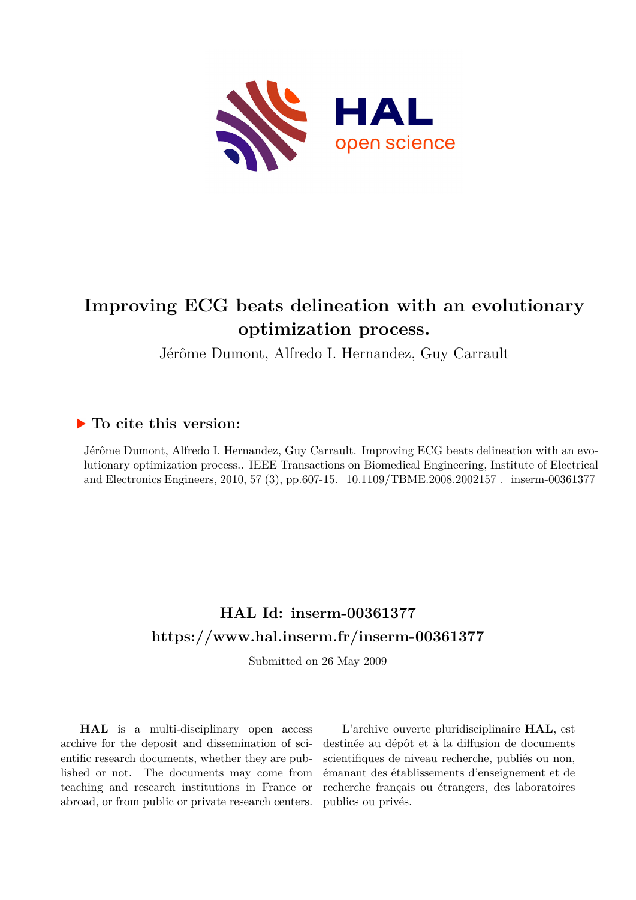

## **Improving ECG beats delineation with an evolutionary optimization process.**

Jérôme Dumont, Alfredo I. Hernandez, Guy Carrault

### **To cite this version:**

Jérôme Dumont, Alfredo I. Hernandez, Guy Carrault. Improving ECG beats delineation with an evolutionary optimization process.. IEEE Transactions on Biomedical Engineering, Institute of Electrical and Electronics Engineers, 2010, 57 (3), pp.607-15. 10.1109/TBME.2008.2002157. inserm-00361377

## **HAL Id: inserm-00361377 <https://www.hal.inserm.fr/inserm-00361377>**

Submitted on 26 May 2009

**HAL** is a multi-disciplinary open access archive for the deposit and dissemination of scientific research documents, whether they are published or not. The documents may come from teaching and research institutions in France or abroad, or from public or private research centers.

L'archive ouverte pluridisciplinaire **HAL**, est destinée au dépôt et à la diffusion de documents scientifiques de niveau recherche, publiés ou non, émanant des établissements d'enseignement et de recherche français ou étrangers, des laboratoires publics ou privés.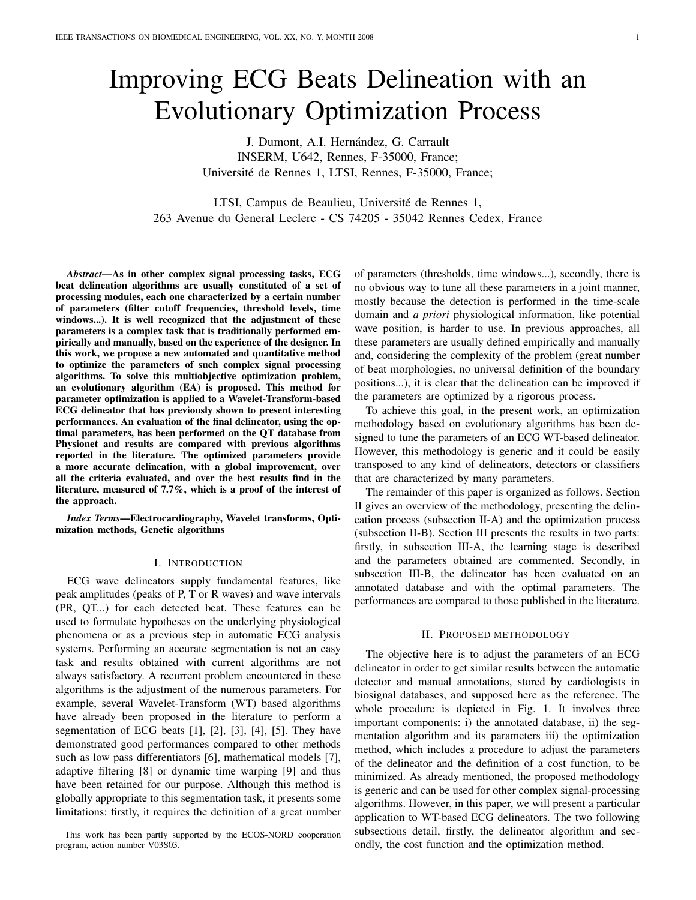# Improving ECG Beats Delineation with an Evolutionary Optimization Process

J. Dumont, A.I. Hernández, G. Carrault INSERM, U642, Rennes, F-35000, France; Universite de Rennes 1, LTSI, Rennes, F-35000, France; ´

LTSI, Campus de Beaulieu, Université de Rennes 1, 263 Avenue du General Leclerc - CS 74205 - 35042 Rennes Cedex, France

*Abstract*—As in other complex signal processing tasks, ECG beat delineation algorithms are usually constituted of a set of processing modules, each one characterized by a certain number of parameters (filter cutoff frequencies, threshold levels, time windows...). It is well recognized that the adjustment of these parameters is a complex task that is traditionally performed empirically and manually, based on the experience of the designer. In this work, we propose a new automated and quantitative method to optimize the parameters of such complex signal processing algorithms. To solve this multiobjective optimization problem, an evolutionary algorithm (EA) is proposed. This method for parameter optimization is applied to a Wavelet-Transform-based ECG delineator that has previously shown to present interesting performances. An evaluation of the final delineator, using the optimal parameters, has been performed on the QT database from Physionet and results are compared with previous algorithms reported in the literature. The optimized parameters provide a more accurate delineation, with a global improvement, over all the criteria evaluated, and over the best results find in the literature, measured of 7.7%, which is a proof of the interest of the approach.

*Index Terms*—Electrocardiography, Wavelet transforms, Optimization methods, Genetic algorithms

#### I. INTRODUCTION

ECG wave delineators supply fundamental features, like peak amplitudes (peaks of P, T or R waves) and wave intervals (PR, QT...) for each detected beat. These features can be used to formulate hypotheses on the underlying physiological phenomena or as a previous step in automatic ECG analysis systems. Performing an accurate segmentation is not an easy task and results obtained with current algorithms are not always satisfactory. A recurrent problem encountered in these algorithms is the adjustment of the numerous parameters. For example, several Wavelet-Transform (WT) based algorithms have already been proposed in the literature to perform a segmentation of ECG beats [1], [2], [3], [4], [5]. They have demonstrated good performances compared to other methods such as low pass differentiators [6], mathematical models [7], adaptive filtering [8] or dynamic time warping [9] and thus have been retained for our purpose. Although this method is globally appropriate to this segmentation task, it presents some limitations: firstly, it requires the definition of a great number

This work has been partly supported by the ECOS-NORD cooperation program, action number V03S03.

of parameters (thresholds, time windows...), secondly, there is no obvious way to tune all these parameters in a joint manner, mostly because the detection is performed in the time-scale domain and *a priori* physiological information, like potential wave position, is harder to use. In previous approaches, all these parameters are usually defined empirically and manually and, considering the complexity of the problem (great number of beat morphologies, no universal definition of the boundary positions...), it is clear that the delineation can be improved if the parameters are optimized by a rigorous process.

To achieve this goal, in the present work, an optimization methodology based on evolutionary algorithms has been designed to tune the parameters of an ECG WT-based delineator. However, this methodology is generic and it could be easily transposed to any kind of delineators, detectors or classifiers that are characterized by many parameters.

The remainder of this paper is organized as follows. Section II gives an overview of the methodology, presenting the delineation process (subsection II-A) and the optimization process (subsection II-B). Section III presents the results in two parts: firstly, in subsection III-A, the learning stage is described and the parameters obtained are commented. Secondly, in subsection III-B, the delineator has been evaluated on an annotated database and with the optimal parameters. The performances are compared to those published in the literature.

#### II. PROPOSED METHODOLOGY

The objective here is to adjust the parameters of an ECG delineator in order to get similar results between the automatic detector and manual annotations, stored by cardiologists in biosignal databases, and supposed here as the reference. The whole procedure is depicted in Fig. 1. It involves three important components: i) the annotated database, ii) the segmentation algorithm and its parameters iii) the optimization method, which includes a procedure to adjust the parameters of the delineator and the definition of a cost function, to be minimized. As already mentioned, the proposed methodology is generic and can be used for other complex signal-processing algorithms. However, in this paper, we will present a particular application to WT-based ECG delineators. The two following subsections detail, firstly, the delineator algorithm and secondly, the cost function and the optimization method.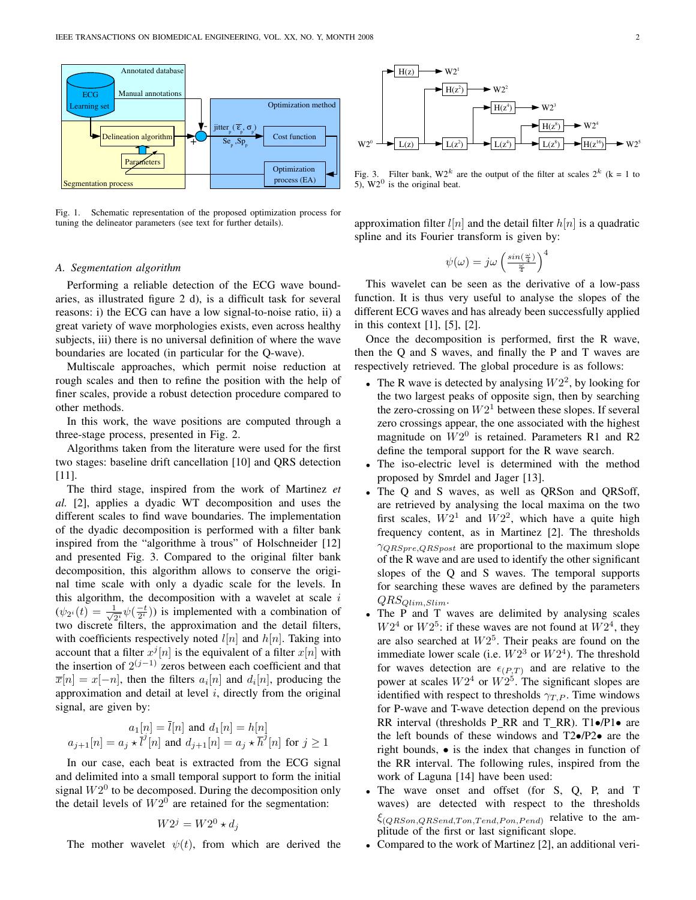

Fig. 1. Schematic representation of the proposed optimization process for tuning the delineator parameters (see text for further details).

#### *A. Segmentation algorithm*

Performing a reliable detection of the ECG wave boundaries, as illustrated figure 2 d), is a difficult task for several reasons: i) the ECG can have a low signal-to-noise ratio, ii) a great variety of wave morphologies exists, even across healthy subjects, iii) there is no universal definition of where the wave boundaries are located (in particular for the Q-wave).

Multiscale approaches, which permit noise reduction at rough scales and then to refine the position with the help of finer scales, provide a robust detection procedure compared to other methods.

In this work, the wave positions are computed through a three-stage process, presented in Fig. 2.

Algorithms taken from the literature were used for the first two stages: baseline drift cancellation [10] and QRS detection [11].

The third stage, inspired from the work of Martinez *et al.* [2], applies a dyadic WT decomposition and uses the different scales to find wave boundaries. The implementation of the dyadic decomposition is performed with a filter bank inspired from the "algorithme à trous" of Holschneider [12] and presented Fig. 3. Compared to the original filter bank decomposition, this algorithm allows to conserve the original time scale with only a dyadic scale for the levels. In this algorithm, the decomposition with a wavelet at scale  $i$  $(\psi_{2^i}(t) = \frac{1}{\sqrt{2}})$  $\frac{1}{2^i} \psi(\frac{-t}{2^i})$  is implemented with a combination of two discrete filters, the approximation and the detail filters, with coefficients respectively noted  $l[n]$  and  $h[n]$ . Taking into account that a filter  $x^j[n]$  is the equivalent of a filter  $x[n]$  with the insertion of  $2^{(j-1)}$  zeros between each coefficient and that  $\overline{x}[n] = x[-n]$ , then the filters  $a_i[n]$  and  $d_i[n]$ , producing the approximation and detail at level  $i$ , directly from the original signal, are given by:

$$
a_1[n] = \overline{l}[n] \text{ and } d_1[n] = h[n]
$$
  

$$
a_{j+1}[n] = a_j \star \overline{l}^j[n] \text{ and } d_{j+1}[n] = a_j \star \overline{h}^j[n] \text{ for } j \ge 1
$$

In our case, each beat is extracted from the ECG signal and delimited into a small temporal support to form the initial signal  $W2^0$  to be decomposed. During the decomposition only the detail levels of  $W2^0$  are retained for the segmentation:

$$
W2^j = W2^0 \star d_j
$$

The mother wavelet  $\psi(t)$ , from which are derived the



Fig. 3. Filter bank,  $W2^k$  are the output of the filter at scales  $2^k$  (k = 1 to 5),  $W2^0$  is the original beat.

approximation filter  $l[n]$  and the detail filter  $h[n]$  is a quadratic spline and its Fourier transform is given by:

$$
\psi(\omega) = j\omega \left(\frac{\sin(\frac{\omega}{4})}{\frac{\omega}{4}}\right)^4
$$

This wavelet can be seen as the derivative of a low-pass function. It is thus very useful to analyse the slopes of the different ECG waves and has already been successfully applied in this context [1], [5], [2].

Once the decomposition is performed, first the R wave, then the Q and S waves, and finally the P and T waves are respectively retrieved. The global procedure is as follows:

- The R wave is detected by analysing  $W2^2$ , by looking for the two largest peaks of opposite sign, then by searching the zero-crossing on  $W2^1$  between these slopes. If several zero crossings appear, the one associated with the highest magnitude on  $W2^0$  is retained. Parameters R1 and R2 define the temporal support for the R wave search.
- The iso-electric level is determined with the method proposed by Smrdel and Jager [13].
- The Q and S waves, as well as QRSon and QRSoff, are retrieved by analysing the local maxima on the two first scales,  $W2<sup>1</sup>$  and  $W2<sup>2</sup>$ , which have a quite high frequency content, as in Martinez [2]. The thresholds  $\gamma_{QRSpre,QRSpost}$  are proportional to the maximum slope of the R wave and are used to identify the other significant slopes of the Q and S waves. The temporal supports for searching these waves are defined by the parameters  $QRS_{Qlim,Slim}$ .
- The P and T waves are delimited by analysing scales  $W2<sup>4</sup>$  or  $W2<sup>5</sup>$ : if these waves are not found at  $W2<sup>4</sup>$ , they are also searched at  $W2^5$ . Their peaks are found on the immediate lower scale (i.e.  $W2^3$  or  $W2^4$ ). The threshold for waves detection are  $\epsilon_{(P,T)}$  and are relative to the power at scales  $W2^4$  or  $W2^5$ . The significant slopes are identified with respect to thresholds  $\gamma_{T,P}$ . Time windows for P-wave and T-wave detection depend on the previous RR interval (thresholds P RR and T RR). T1•/P1• are the left bounds of these windows and T2•/P2• are the right bounds, • is the index that changes in function of the RR interval. The following rules, inspired from the work of Laguna [14] have been used:
- The wave onset and offset (for S, Q, P, and T waves) are detected with respect to the thresholds  $\xi_{(QR Son,QRSend, Ton,Tend,Pon,Pend)}$  relative to the amplitude of the first or last significant slope.
- Compared to the work of Martinez [2], an additional veri-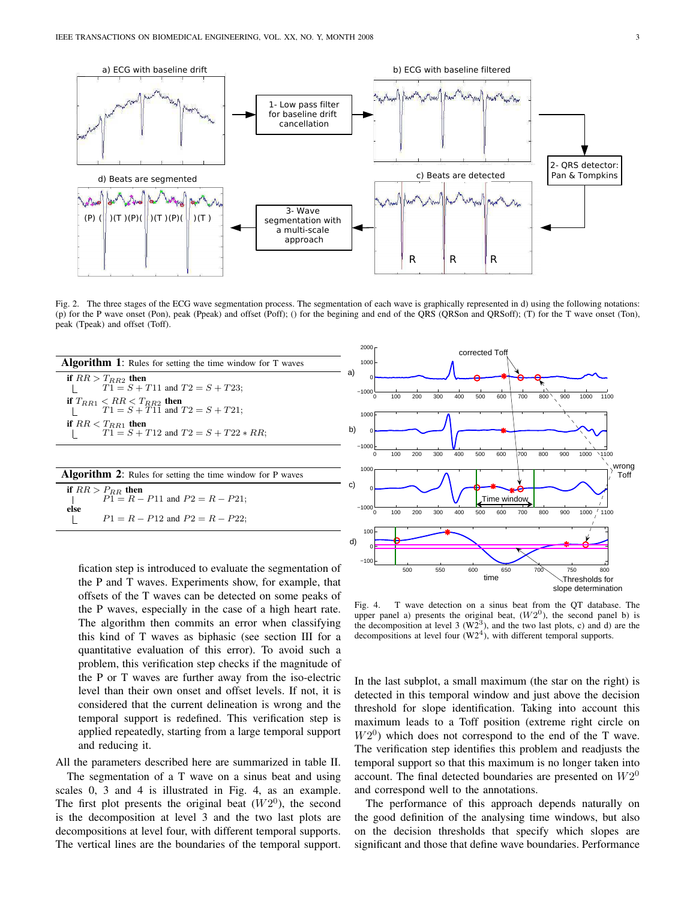

Fig. 2. The three stages of the ECG wave segmentation process. The segmentation of each wave is graphically represented in d) using the following notations: (p) for the P wave onset (Pon), peak (Ppeak) and offset (Poff); () for the begining and end of the QRS (QRSon and QRSoff); (T) for the T wave onset (Ton), peak (Tpeak) and offset (Toff).

| <b>Algorithm 1:</b> Rules for setting the time window for T waves       |
|-------------------------------------------------------------------------|
| if $RR > T_{RB2}$ then<br>$T1 = S + T11$ and $T2 = S + T23$ ;           |
| if $T_{RB1} < RR < T_{RB2}$ then<br>$T1 = S + T11$ and $T2 = S + T21$ ; |
| if $RR < T_{RB1}$ then<br>$T1 = S + T12$ and $T2 = S + T22 * RR$ ;      |
|                                                                         |
| <b>Algorithm 2:</b> Rules for setting the time window for P waves       |
| if $RR > P_{RR}$ then<br>$P1 = R - P11$ and $P2 = R - P21$ ;<br>else    |
| $P1 = R - P12$ and $P2 = R - P22$ ;                                     |
|                                                                         |

fication step is introduced to evaluate the segmentation of the P and T waves. Experiments show, for example, that offsets of the T waves can be detected on some peaks of the P waves, especially in the case of a high heart rate. The algorithm then commits an error when classifying this kind of T waves as biphasic (see section III for a quantitative evaluation of this error). To avoid such a problem, this verification step checks if the magnitude of the P or T waves are further away from the iso-electric level than their own onset and offset levels. If not, it is considered that the current delineation is wrong and the temporal support is redefined. This verification step is applied repeatedly, starting from a large temporal support and reducing it.

All the parameters described here are summarized in table II.

The segmentation of a T wave on a sinus beat and using scales 0, 3 and 4 is illustrated in Fig. 4, as an example. The first plot presents the original beat  $(W2^0)$ , the second is the decomposition at level 3 and the two last plots are decompositions at level four, with different temporal supports. The vertical lines are the boundaries of the temporal support.



Fig. 4. T wave detection on a sinus beat from the QT database. The upper panel a) presents the original beat,  $(W2^0)$ , the second panel b) is the decomposition at level 3  $(W2^3)$ , and the two last plots, c) and d) are the decompositions at level four  $(W2<sup>4</sup>)$ , with different temporal supports.

In the last subplot, a small maximum (the star on the right) is detected in this temporal window and just above the decision threshold for slope identification. Taking into account this maximum leads to a Toff position (extreme right circle on  $W2<sup>0</sup>$ ) which does not correspond to the end of the T wave. The verification step identifies this problem and readjusts the temporal support so that this maximum is no longer taken into account. The final detected boundaries are presented on  $W2^0$ and correspond well to the annotations.

The performance of this approach depends naturally on the good definition of the analysing time windows, but also on the decision thresholds that specify which slopes are significant and those that define wave boundaries. Performance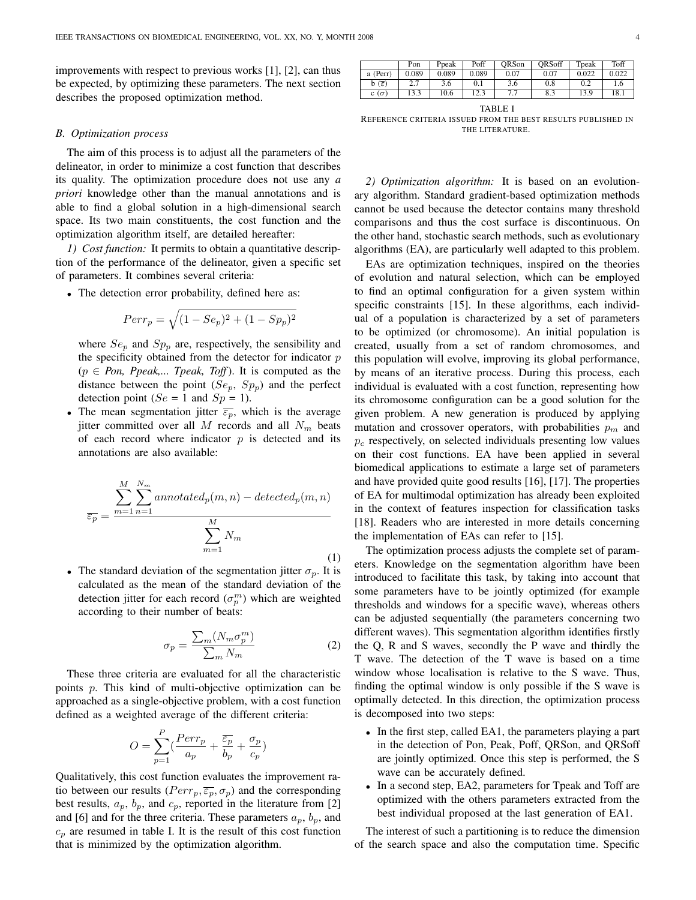improvements with respect to previous works [1], [2], can thus be expected, by optimizing these parameters. The next section describes the proposed optimization method.

#### *B. Optimization process*

The aim of this process is to adjust all the parameters of the delineator, in order to minimize a cost function that describes its quality. The optimization procedure does not use any *a priori* knowledge other than the manual annotations and is able to find a global solution in a high-dimensional search space. Its two main constituents, the cost function and the optimization algorithm itself, are detailed hereafter:

*1) Cost function:* It permits to obtain a quantitative description of the performance of the delineator, given a specific set of parameters. It combines several criteria:

• The detection error probability, defined here as:

$$
Perr_p = \sqrt{(1 - Se_p)^2 + (1 - Sp_p)^2}
$$

where  $Se_p$  and  $Sp_p$  are, respectively, the sensibility and the specificity obtained from the detector for indicator  $p$  $(p \in Pon, Ppeak,... Tpeak, Toff)$ . It is computed as the distance between the point  $(Se_p, Sp_p)$  and the perfect detection point ( $Se = 1$  and  $Sp = 1$ ).

• The mean segmentation jitter  $\overline{\epsilon_p}$ , which is the average jitter committed over all M records and all  $N_m$  beats of each record where indicator  $p$  is detected and its annotations are also available:

$$
\overline{\varepsilon_p} = \frac{\sum_{m=1}^{M} \sum_{n=1}^{N_m} annotated_p(m,n) - detected_p(m,n)}{\sum_{m=1}^{M} N_m}
$$
\n(1)

• The standard deviation of the segmentation jitter  $\sigma_p$ . It is calculated as the mean of the standard deviation of the detection jitter for each record  $(\sigma_p^m)$  which are weighted according to their number of beats:

$$
\sigma_p = \frac{\sum_m (N_m \sigma_p^m)}{\sum_m N_m} \tag{2}
$$

These three criteria are evaluated for all the characteristic points p. This kind of multi-objective optimization can be approached as a single-objective problem, with a cost function defined as a weighted average of the different criteria:

$$
O = \sum_{p=1}^{P} \left( \frac{Perr_p}{a_p} + \frac{\overline{\varepsilon_p}}{b_p} + \frac{\sigma_p}{c_p} \right)
$$

Qualitatively, this cost function evaluates the improvement ratio between our results ( $Perr_p, \overline{\varepsilon_p}, \sigma_p$ ) and the corresponding best results,  $a_p$ ,  $b_p$ , and  $c_p$ , reported in the literature from [2] and [6] and for the three criteria. These parameters  $a_p$ ,  $b_p$ , and  $c_p$  are resumed in table I. It is the result of this cost function that is minimized by the optimization algorithm.

|                             | Pon   | Ppeak | Poff  | ORSon    | ORSoff | Toeak | Toff  |
|-----------------------------|-------|-------|-------|----------|--------|-------|-------|
| a (Perr)                    | 0.089 | 0.089 | 0.089 | 0.07     | 0.07   | 0.022 | 0.022 |
| $b(\overline{\varepsilon})$ | ، ،   | 3.6   | 0.1   | 3.6      | 0.8    |       | 1.6   |
| c $(\sigma)$                | 13.3  | 10.6  | 12.3  | ר ר<br>. | 8.3    | 13.9  | 18.1  |

TABLE I

REFERENCE CRITERIA ISSUED FROM THE BEST RESULTS PUBLISHED IN THE LITERATURE.

*2) Optimization algorithm:* It is based on an evolutionary algorithm. Standard gradient-based optimization methods cannot be used because the detector contains many threshold comparisons and thus the cost surface is discontinuous. On the other hand, stochastic search methods, such as evolutionary algorithms (EA), are particularly well adapted to this problem.

EAs are optimization techniques, inspired on the theories of evolution and natural selection, which can be employed to find an optimal configuration for a given system within specific constraints [15]. In these algorithms, each individual of a population is characterized by a set of parameters to be optimized (or chromosome). An initial population is created, usually from a set of random chromosomes, and this population will evolve, improving its global performance, by means of an iterative process. During this process, each individual is evaluated with a cost function, representing how its chromosome configuration can be a good solution for the given problem. A new generation is produced by applying mutation and crossover operators, with probabilities  $p_m$  and  $p_c$  respectively, on selected individuals presenting low values on their cost functions. EA have been applied in several biomedical applications to estimate a large set of parameters and have provided quite good results [16], [17]. The properties of EA for multimodal optimization has already been exploited in the context of features inspection for classification tasks [18]. Readers who are interested in more details concerning the implementation of EAs can refer to [15].

The optimization process adjusts the complete set of parameters. Knowledge on the segmentation algorithm have been introduced to facilitate this task, by taking into account that some parameters have to be jointly optimized (for example thresholds and windows for a specific wave), whereas others can be adjusted sequentially (the parameters concerning two different waves). This segmentation algorithm identifies firstly the Q, R and S waves, secondly the P wave and thirdly the T wave. The detection of the T wave is based on a time window whose localisation is relative to the S wave. Thus, finding the optimal window is only possible if the S wave is optimally detected. In this direction, the optimization process is decomposed into two steps:

- In the first step, called EA1, the parameters playing a part in the detection of Pon, Peak, Poff, QRSon, and QRSoff are jointly optimized. Once this step is performed, the S wave can be accurately defined.
- In a second step, EA2, parameters for Tpeak and Toff are optimized with the others parameters extracted from the best individual proposed at the last generation of EA1.

The interest of such a partitioning is to reduce the dimension of the search space and also the computation time. Specific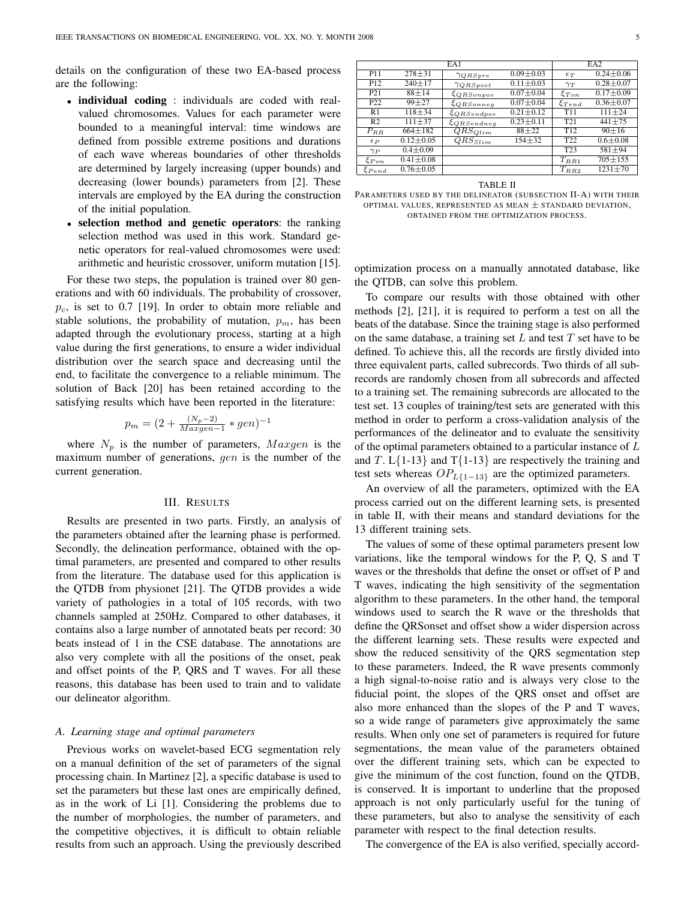details on the configuration of these two EA-based process are the following:

- individual coding : individuals are coded with realvalued chromosomes. Values for each parameter were bounded to a meaningful interval: time windows are defined from possible extreme positions and durations of each wave whereas boundaries of other thresholds are determined by largely increasing (upper bounds) and decreasing (lower bounds) parameters from [2]. These intervals are employed by the EA during the construction of the initial population.
- selection method and genetic operators: the ranking selection method was used in this work. Standard genetic operators for real-valued chromosomes were used: arithmetic and heuristic crossover, uniform mutation [15].

For these two steps, the population is trained over 80 generations and with 60 individuals. The probability of crossover,  $p_c$ , is set to 0.7 [19]. In order to obtain more reliable and stable solutions, the probability of mutation,  $p_m$ , has been adapted through the evolutionary process, starting at a high value during the first generations, to ensure a wider individual distribution over the search space and decreasing until the end, to facilitate the convergence to a reliable minimum. The solution of Back [20] has been retained according to the satisfying results which have been reported in the literature:

$$
p_m = (2 + \frac{(N_p - 2)}{Maxgen - 1} * gen)^{-1}
$$

where  $N_p$  is the number of parameters,  $Maxgen$  is the maximum number of generations, gen is the number of the current generation.

#### III. RESULTS

Results are presented in two parts. Firstly, an analysis of the parameters obtained after the learning phase is performed. Secondly, the delineation performance, obtained with the optimal parameters, are presented and compared to other results from the literature. The database used for this application is the QTDB from physionet [21]. The QTDB provides a wide variety of pathologies in a total of 105 records, with two channels sampled at 250Hz. Compared to other databases, it contains also a large number of annotated beats per record: 30 beats instead of 1 in the CSE database. The annotations are also very complete with all the positions of the onset, peak and offset points of the P, QRS and T waves. For all these reasons, this database has been used to train and to validate our delineator algorithm.

#### *A. Learning stage and optimal parameters*

Previous works on wavelet-based ECG segmentation rely on a manual definition of the set of parameters of the signal processing chain. In Martinez [2], a specific database is used to set the parameters but these last ones are empirically defined, as in the work of Li [1]. Considering the problems due to the number of morphologies, the number of parameters, and the competitive objectives, it is difficult to obtain reliable results from such an approach. Using the previously described

|                 |                 | EA <sub>2</sub>         |                 |                 |                 |
|-----------------|-----------------|-------------------------|-----------------|-----------------|-----------------|
| P11             | $278 + 31$      | $\gamma_{QRSpre}$       | $0.09 \pm 0.03$ | $\epsilon_T$    | $0.24 \pm 0.06$ |
| P <sub>12</sub> | $240 \pm 17$    | $\gamma_{QRSpost}$      | $0.11 \pm 0.03$ | $\gamma_T$      | $0.28 \pm 0.07$ |
| P21             | $88 + 14$       | $\xi_{QRSonpos}$        | $0.07 \pm 0.04$ | $\xi_{Ton}$     | $0.17 \pm 0.09$ |
| P <sub>22</sub> | $99 + 27$       | $\xi_{QRSonneq}$        | $0.07 \pm 0.04$ | $\xi_{Tend}$    | $0.36 \pm 0.07$ |
| R1              | $118 + 34$      | $\xi_{QRS endpos}$      | $0.21 \pm 0.12$ | T <sub>11</sub> | $111 \pm 24$    |
| R <sub>2</sub>  | $111 + 37$      | $\xi_{QRSendneq}$       | $0.23 \pm 0.11$ | T <sub>21</sub> | $441 + 75$      |
| $P_{RR}$        | $664 \pm 182$   | $QRS_{Olim}$            | $88 + 22$       | T <sub>12</sub> | $90 + 16$       |
| $\epsilon_P$    | $0.12 \pm 0.05$ | $\overline{Q}RS_{Stim}$ | $154 + 32$      | T <sub>22</sub> | $0.6 \pm 0.08$  |
| $\gamma_P$      | $0.4 \pm 0.09$  |                         |                 | T <sub>23</sub> | $581 + 94$      |
| $\xi_{Pon}$     | $0.41 \pm 0.08$ |                         |                 | $T_{RR1}$       | $705 \pm 155$   |
| $\xi_{Pend}$    | $0.76 \pm 0.05$ |                         |                 | $T_{RR2}$       | $1231 \pm 70$   |

TABLE II

PARAMETERS USED BY THE DELINEATOR (SUBSECTION II-A) WITH THEIR OPTIMAL VALUES, REPRESENTED AS MEAN  $\pm$  STANDARD DEVIATION, OBTAINED FROM THE OPTIMIZATION PROCESS.

optimization process on a manually annotated database, like the QTDB, can solve this problem.

To compare our results with those obtained with other methods [2], [21], it is required to perform a test on all the beats of the database. Since the training stage is also performed on the same database, a training set  $L$  and test  $T$  set have to be defined. To achieve this, all the records are firstly divided into three equivalent parts, called subrecords. Two thirds of all subrecords are randomly chosen from all subrecords and affected to a training set. The remaining subrecords are allocated to the test set. 13 couples of training/test sets are generated with this method in order to perform a cross-validation analysis of the performances of the delineator and to evaluate the sensitivity of the optimal parameters obtained to a particular instance of L and T.  $L{1-13}$  and T ${1-13}$  are respectively the training and test sets whereas  $OP_{L{1-13}}$  are the optimized parameters.

An overview of all the parameters, optimized with the EA process carried out on the different learning sets, is presented in table II, with their means and standard deviations for the 13 different training sets.

The values of some of these optimal parameters present low variations, like the temporal windows for the P, Q, S and T waves or the thresholds that define the onset or offset of P and T waves, indicating the high sensitivity of the segmentation algorithm to these parameters. In the other hand, the temporal windows used to search the R wave or the thresholds that define the QRSonset and offset show a wider dispersion across the different learning sets. These results were expected and show the reduced sensitivity of the QRS segmentation step to these parameters. Indeed, the R wave presents commonly a high signal-to-noise ratio and is always very close to the fiducial point, the slopes of the QRS onset and offset are also more enhanced than the slopes of the P and T waves, so a wide range of parameters give approximately the same results. When only one set of parameters is required for future segmentations, the mean value of the parameters obtained over the different training sets, which can be expected to give the minimum of the cost function, found on the QTDB, is conserved. It is important to underline that the proposed approach is not only particularly useful for the tuning of these parameters, but also to analyse the sensitivity of each parameter with respect to the final detection results.

The convergence of the EA is also verified, specially accord-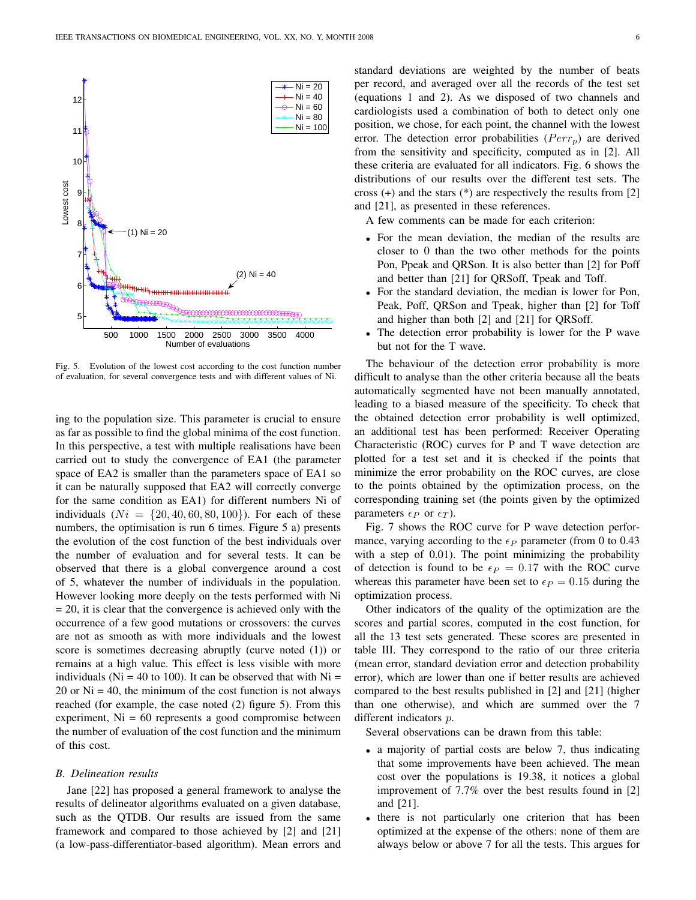

Fig. 5. Evolution of the lowest cost according to the cost function number of evaluation, for several convergence tests and with different values of Ni.

ing to the population size. This parameter is crucial to ensure as far as possible to find the global minima of the cost function. In this perspective, a test with multiple realisations have been carried out to study the convergence of EA1 (the parameter space of EA2 is smaller than the parameters space of EA1 so it can be naturally supposed that EA2 will correctly converge for the same condition as EA1) for different numbers Ni of individuals  $(Ni = \{20, 40, 60, 80, 100\})$ . For each of these numbers, the optimisation is run 6 times. Figure 5 a) presents the evolution of the cost function of the best individuals over the number of evaluation and for several tests. It can be observed that there is a global convergence around a cost of 5, whatever the number of individuals in the population. However looking more deeply on the tests performed with Ni = 20, it is clear that the convergence is achieved only with the occurrence of a few good mutations or crossovers: the curves are not as smooth as with more individuals and the lowest score is sometimes decreasing abruptly (curve noted (1)) or remains at a high value. This effect is less visible with more individuals ( $Ni = 40$  to 100). It can be observed that with  $Ni =$ 20 or  $Ni = 40$ , the minimum of the cost function is not always reached (for example, the case noted (2) figure 5). From this experiment,  $Ni = 60$  represents a good compromise between the number of evaluation of the cost function and the minimum of this cost.

#### *B. Delineation results*

Jane [22] has proposed a general framework to analyse the results of delineator algorithms evaluated on a given database, such as the QTDB. Our results are issued from the same framework and compared to those achieved by [2] and [21] (a low-pass-differentiator-based algorithm). Mean errors and standard deviations are weighted by the number of beats per record, and averaged over all the records of the test set (equations 1 and 2). As we disposed of two channels and cardiologists used a combination of both to detect only one position, we chose, for each point, the channel with the lowest error. The detection error probabilities ( $Perr_p$ ) are derived from the sensitivity and specificity, computed as in [2]. All these criteria are evaluated for all indicators. Fig. 6 shows the distributions of our results over the different test sets. The cross  $(+)$  and the stars  $(*)$  are respectively the results from [2] and [21], as presented in these references.

A few comments can be made for each criterion:

- For the mean deviation, the median of the results are closer to 0 than the two other methods for the points Pon, Ppeak and QRSon. It is also better than [2] for Poff and better than [21] for QRSoff, Tpeak and Toff.
- For the standard deviation, the median is lower for Pon, Peak, Poff, QRSon and Tpeak, higher than [2] for Toff and higher than both [2] and [21] for QRSoff.
- The detection error probability is lower for the P wave but not for the T wave.

The behaviour of the detection error probability is more difficult to analyse than the other criteria because all the beats automatically segmented have not been manually annotated, leading to a biased measure of the specificity. To check that the obtained detection error probability is well optimized, an additional test has been performed: Receiver Operating Characteristic (ROC) curves for P and T wave detection are plotted for a test set and it is checked if the points that minimize the error probability on the ROC curves, are close to the points obtained by the optimization process, on the corresponding training set (the points given by the optimized parameters  $\epsilon_P$  or  $\epsilon_T$ ).

Fig. 7 shows the ROC curve for P wave detection performance, varying according to the  $\epsilon_P$  parameter (from 0 to 0.43) with a step of 0.01). The point minimizing the probability of detection is found to be  $\epsilon_P = 0.17$  with the ROC curve whereas this parameter have been set to  $\epsilon_P = 0.15$  during the optimization process.

Other indicators of the quality of the optimization are the scores and partial scores, computed in the cost function, for all the 13 test sets generated. These scores are presented in table III. They correspond to the ratio of our three criteria (mean error, standard deviation error and detection probability error), which are lower than one if better results are achieved compared to the best results published in [2] and [21] (higher than one otherwise), and which are summed over the 7 different indicators p.

Several observations can be drawn from this table:

- a majority of partial costs are below 7, thus indicating that some improvements have been achieved. The mean cost over the populations is 19.38, it notices a global improvement of 7.7% over the best results found in [2] and [21].
- there is not particularly one criterion that has been optimized at the expense of the others: none of them are always below or above 7 for all the tests. This argues for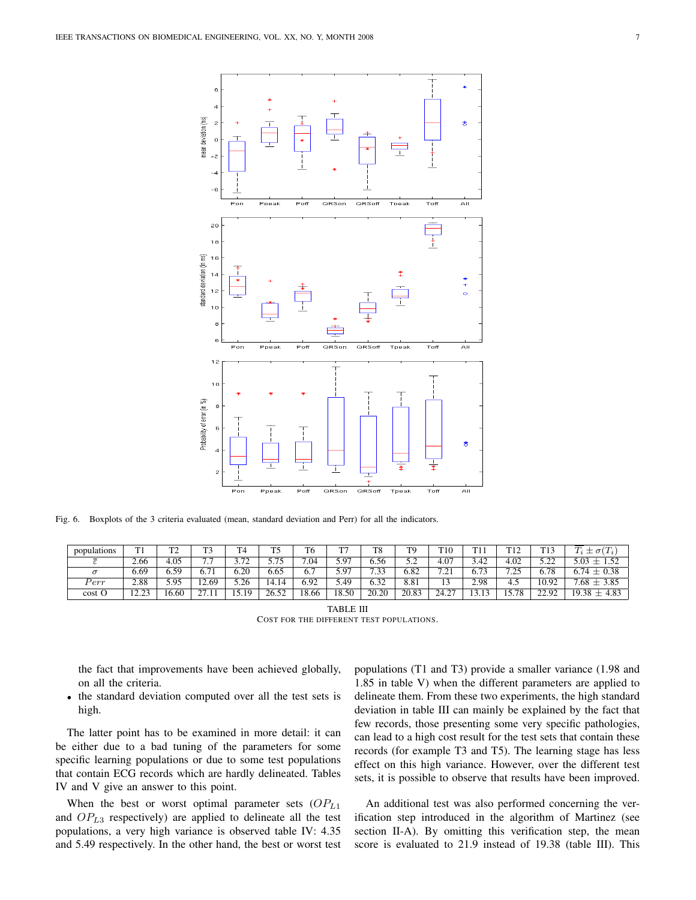

Fig. 6. Boxplots of the 3 criteria evaluated (mean, standard deviation and Perr) for all the indicators.

| populations | m:<br>. .                   | mo<br>∸ | $\mathbf{m}$                       | T <sub>1</sub>                       | T5          | T6    | mm          | T8           | T <sub>9</sub> | T <sub>10</sub> | T11<br>.             | T12<br>.       | T <sub>13</sub>       | $\pm \sigma^{(T)}$<br>$T_i$ |
|-------------|-----------------------------|---------|------------------------------------|--------------------------------------|-------------|-------|-------------|--------------|----------------|-----------------|----------------------|----------------|-----------------------|-----------------------------|
|             | 2.66                        | 4.05    | $\overline{ }$ $\overline{ }$<br>. | $\overline{\phantom{a}}$<br><u>.</u> | 575<br>J.IJ | 7.04  | 5.97        | 6.56         | < ^<br>ے ۔     | 4.07            | 3.42                 | 4.02           | 5 77<br>---           | 5.03<br>$+ 152$             |
|             | 6.69                        | .59     | 6.71                               | 6.20                                 | 6.65        | 6.7   | 5 Q7<br>J.J | 7.22<br>ن ر. | 6.82           | 7.21<br>.       | $\mathbf{z}$<br>0.73 | 7 75<br>ر ہے . | 6.78                  | $6.74 \pm 0.38$             |
| $_{err}$    | 2.88                        | 5.95    | 2.69                               | 5.26                                 | 14.14       | 6.92  | 5.49        | 6.32         | 8.81           | ໍາ<br>⊥ J       | 2.98                 | 4.5            | 10.92                 | $7.68 \pm 3.85$             |
| cost O      | $\cap$ $\cap$<br>. <i>.</i> | .6.60   | $\sim$                             | 19                                   | 26.52       | 18.66 | 18.50       | 20.20        | 20.83          | 24.27           | $\sim$               | 15.78          | 22.92<br><i>LL.JL</i> | $19.38 \pm 4.83$            |

TABLE III COST FOR THE DIFFERENT TEST POPULATIONS.

the fact that improvements have been achieved globally, on all the criteria.

• the standard deviation computed over all the test sets is high.

The latter point has to be examined in more detail: it can be either due to a bad tuning of the parameters for some specific learning populations or due to some test populations that contain ECG records which are hardly delineated. Tables IV and V give an answer to this point.

When the best or worst optimal parameter sets  $OP_{L1}$ and  $OP<sub>L3</sub>$  respectively) are applied to delineate all the test populations, a very high variance is observed table IV: 4.35 and 5.49 respectively. In the other hand, the best or worst test populations (T1 and T3) provide a smaller variance (1.98 and 1.85 in table V) when the different parameters are applied to delineate them. From these two experiments, the high standard deviation in table III can mainly be explained by the fact that few records, those presenting some very specific pathologies, can lead to a high cost result for the test sets that contain these records (for example T3 and T5). The learning stage has less effect on this high variance. However, over the different test sets, it is possible to observe that results have been improved.

An additional test was also performed concerning the verification step introduced in the algorithm of Martinez (see section II-A). By omitting this verification step, the mean score is evaluated to 21.9 instead of 19.38 (table III). This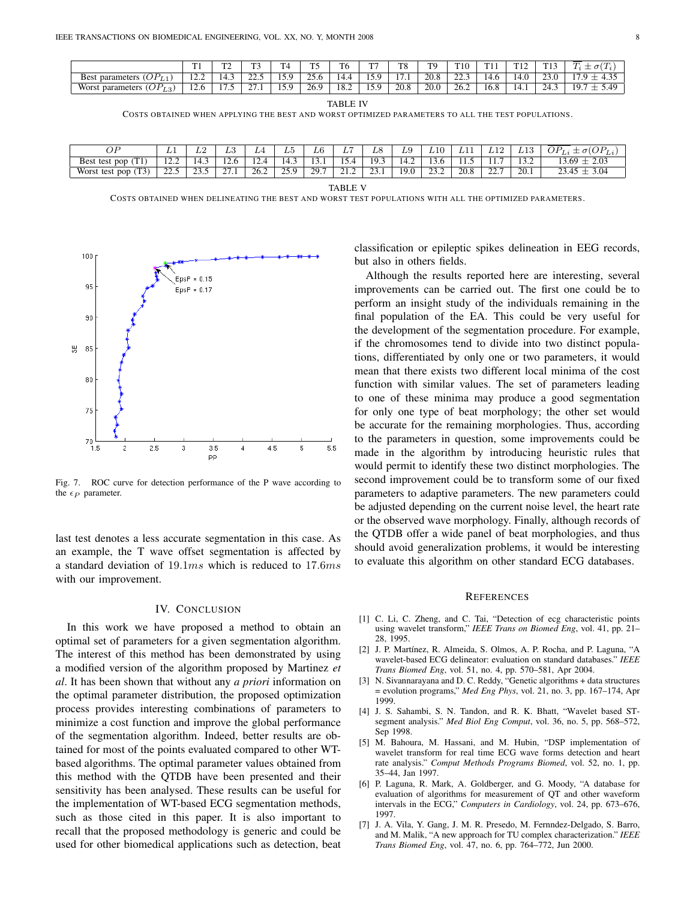|                                                                      | m<br>. .       | $\mathbf{m}$<br>. .           | m.                 | m<br>4                | m<br>. . | m.<br>10 | $\sim$                    | TC<br>10 | <b>TQ</b> | T <sub>10</sub> | $T = 1$<br>. | T12<br>$\overline{1}$     | 1 I J                | $\sqrt{1}$<br>$\sqrt{2}$<br>$\sigma$<br>-<br>$\overline{ }$<br>– |
|----------------------------------------------------------------------|----------------|-------------------------------|--------------------|-----------------------|----------|----------|---------------------------|----------|-----------|-----------------|--------------|---------------------------|----------------------|------------------------------------------------------------------|
| JP.<br>parameters<br><b>Best</b><br>$\mathcal{L}$<br><b>L</b>        | $\sim$<br>.    | 14.3                          | $\sim$             | $\epsilon$<br>1 J . J | 25h<br>້ | 4.4      | -<br>1 J . J              | -        | 20.8      | $\sim$<br>---   | ᠇…           | $\sqrt{1}$<br>T.V         | $\sim$<br>້          | $\sim$ $\sim$<br>                                                |
| $\cap P_{L3}$<br>Worst<br>parameters<br>$^{\circ}$ (U <sub>1</sub> ) | $\sim$<br>12.U | $\overline{\phantom{0}}$<br>. | $\sim$<br><u>.</u> | $\epsilon$<br>1 J . J | 26.9     | 18.2     | $\overline{a}$<br>1 J . J | 20.8     | 20.0      | 26.2            | 16.8         | $\overline{ }$<br>$1 - 1$ | $\sim$<br>′4<br>27.J | 49<br>10.<br>1/1                                                 |

TABLE IV

COSTS OBTAINED WHEN APPLYING THE BEST AND WORST OPTIMIZED PARAMETERS TO ALL THE TEST POPULATIONS.

| λD<br>ັ້                            | ≖                           | ⊥∠    | ΨΩ<br>and the control of the          | L/4           | ₽U          | $\sqrt{2}$<br>Lθ | -<br>╜       | $-$<br>₽€             | ⊥∪                              | ₽Ŧ∩             | ---  | ---                  | ⊥⊥⊾                      | $\cap$ $\Gamma$<br>$\sigma$ ( $U$<br>$\cdot$ $\cdot$ $\cdot$ $\cdot$<br>ு பா<br>Lι |
|-------------------------------------|-----------------------------|-------|---------------------------------------|---------------|-------------|------------------|--------------|-----------------------|---------------------------------|-----------------|------|----------------------|--------------------------|------------------------------------------------------------------------------------|
| Best<br>pop<br>test<br>$\mathbf{r}$ | $\sim$ $\sim$<br>. <i>.</i> | 14.J  | $\sim$<br>$1 - 0$                     | c<br>$\cdots$ | د.4'        | 1 J . 1          | -<br>.       | $\sim$ $\sim$<br>19.5 | $\overline{\phantom{a}}$<br>4.4 | 10.U            | 11.J | .                    | $\sim$<br>$\overline{1}$ | 2.03<br>$\sim$<br>69                                                               |
| $\sim$<br>Worst test pop<br>. L J   | $\sim$<br>ر. د سه سه        | ر. رے | $\sim$<br>$\sim$ $\sim$ $\sim$ $\sim$ | 26.2          | 250<br>39.7 | 29.7             | <u> 41.4</u> | $\sim$<br><u>_</u>    | 19.0                            | $\sim$<br>ے ۔ ب | 20.8 | $\sim$<br><u>_</u> _ | 20.1                     | $\Omega$<br>.<br>--                                                                |

TABLE V

COSTS OBTAINED WHEN DELINEATING THE BEST AND WORST TEST POPULATIONS WITH ALL THE OPTIMIZED PARAMETERS.



Fig. 7. ROC curve for detection performance of the P wave according to the  $\epsilon_P$  parameter.

last test denotes a less accurate segmentation in this case. As an example, the T wave offset segmentation is affected by a standard deviation of  $19.1ms$  which is reduced to  $17.6ms$ with our improvement.

#### IV. CONCLUSION

In this work we have proposed a method to obtain an optimal set of parameters for a given segmentation algorithm. The interest of this method has been demonstrated by using a modified version of the algorithm proposed by Martinez *et al*. It has been shown that without any *a priori* information on the optimal parameter distribution, the proposed optimization process provides interesting combinations of parameters to minimize a cost function and improve the global performance of the segmentation algorithm. Indeed, better results are obtained for most of the points evaluated compared to other WTbased algorithms. The optimal parameter values obtained from this method with the QTDB have been presented and their sensitivity has been analysed. These results can be useful for the implementation of WT-based ECG segmentation methods, such as those cited in this paper. It is also important to recall that the proposed methodology is generic and could be used for other biomedical applications such as detection, beat

classification or epileptic spikes delineation in EEG records, but also in others fields.

Although the results reported here are interesting, several improvements can be carried out. The first one could be to perform an insight study of the individuals remaining in the final population of the EA. This could be very useful for the development of the segmentation procedure. For example, if the chromosomes tend to divide into two distinct populations, differentiated by only one or two parameters, it would mean that there exists two different local minima of the cost function with similar values. The set of parameters leading to one of these minima may produce a good segmentation for only one type of beat morphology; the other set would be accurate for the remaining morphologies. Thus, according to the parameters in question, some improvements could be made in the algorithm by introducing heuristic rules that would permit to identify these two distinct morphologies. The second improvement could be to transform some of our fixed parameters to adaptive parameters. The new parameters could be adjusted depending on the current noise level, the heart rate or the observed wave morphology. Finally, although records of the QTDB offer a wide panel of beat morphologies, and thus should avoid generalization problems, it would be interesting to evaluate this algorithm on other standard ECG databases.

#### **REFERENCES**

- [1] C. Li, C. Zheng, and C. Tai, "Detection of ecg characteristic points using wavelet transform," *IEEE Trans on Biomed Eng*, vol. 41, pp. 21– 28, 1995.
- [2] J. P. Martínez, R. Almeida, S. Olmos, A. P. Rocha, and P. Laguna, "A wavelet-based ECG delineator: evaluation on standard databases." *IEEE Trans Biomed Eng*, vol. 51, no. 4, pp. 570–581, Apr 2004.
- [3] N. Sivannarayana and D. C. Reddy, "Genetic algorithms + data structures = evolution programs," *Med Eng Phys*, vol. 21, no. 3, pp. 167–174, Apr 1999.
- [4] J. S. Sahambi, S. N. Tandon, and R. K. Bhatt, "Wavelet based STsegment analysis." *Med Biol Eng Comput*, vol. 36, no. 5, pp. 568–572, Sep 1998.
- [5] M. Bahoura, M. Hassani, and M. Hubin, "DSP implementation of wavelet transform for real time ECG wave forms detection and heart rate analysis." *Comput Methods Programs Biomed*, vol. 52, no. 1, pp. 35–44, Jan 1997.
- [6] P. Laguna, R. Mark, A. Goldberger, and G. Moody, "A database for evaluation of algorithms for measurement of QT and other waveform intervals in the ECG," *Computers in Cardiology*, vol. 24, pp. 673–676, 1997.
- [7] J. A. Vila, Y. Gang, J. M. R. Presedo, M. Fernndez-Delgado, S. Barro, and M. Malik, "A new approach for TU complex characterization." *IEEE Trans Biomed Eng*, vol. 47, no. 6, pp. 764–772, Jun 2000.